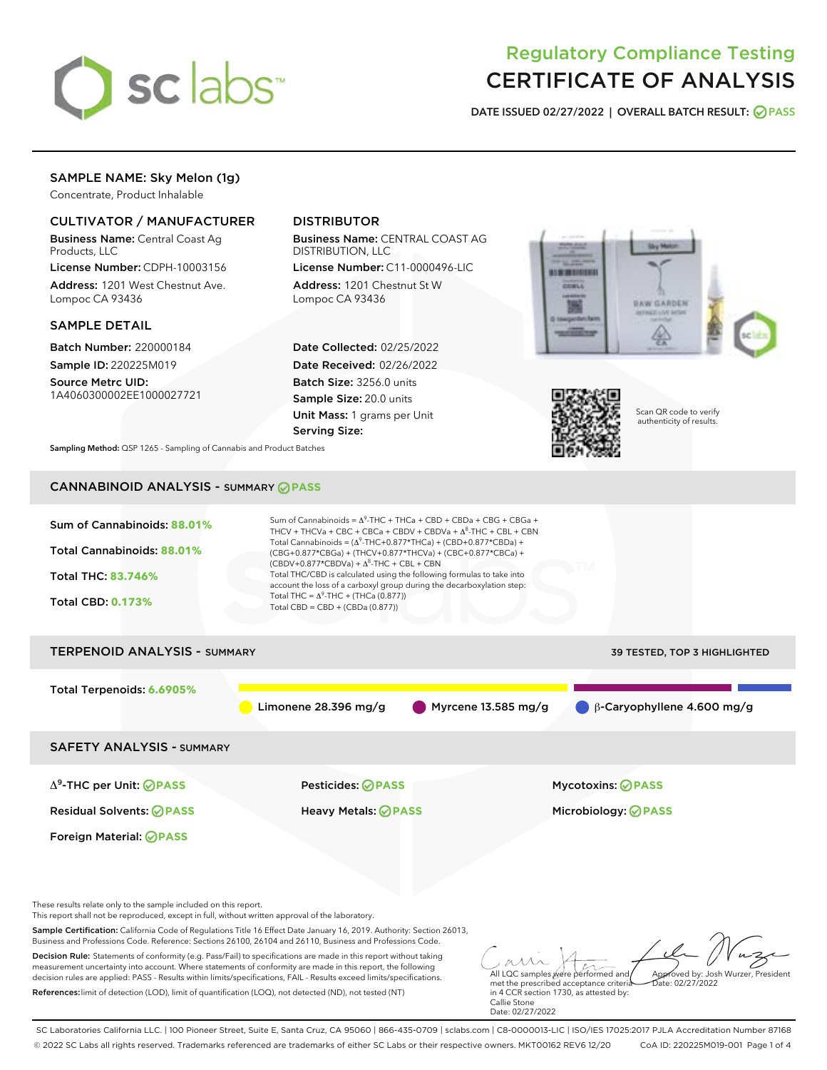

# Regulatory Compliance Testing CERTIFICATE OF ANALYSIS

DATE ISSUED 02/27/2022 | OVERALL BATCH RESULT: @ PASS

## SAMPLE NAME: Sky Melon (1g)

Concentrate, Product Inhalable

### CULTIVATOR / MANUFACTURER

Business Name: Central Coast Ag Products, LLC

License Number: CDPH-10003156 Address: 1201 West Chestnut Ave. Lompoc CA 93436

#### SAMPLE DETAIL

Batch Number: 220000184 Sample ID: 220225M019

Source Metrc UID: 1A4060300002EE1000027721

## DISTRIBUTOR

Business Name: CENTRAL COAST AG DISTRIBUTION, LLC

License Number: C11-0000496-LIC Address: 1201 Chestnut St W Lompoc CA 93436

Date Collected: 02/25/2022 Date Received: 02/26/2022 Batch Size: 3256.0 units Sample Size: 20.0 units Unit Mass: 1 grams per Unit Serving Size:





Scan QR code to verify authenticity of results.

Sampling Method: QSP 1265 - Sampling of Cannabis and Product Batches

## CANNABINOID ANALYSIS - SUMMARY **PASS**



SC Laboratories California LLC. | 100 Pioneer Street, Suite E, Santa Cruz, CA 95060 | 866-435-0709 | sclabs.com | C8-0000013-LIC | ISO/IES 17025:2017 PJLA Accreditation Number 87168 © 2022 SC Labs all rights reserved. Trademarks referenced are trademarks of either SC Labs or their respective owners. MKT00162 REV6 12/20 CoA ID: 220225M019-001 Page 1 of 4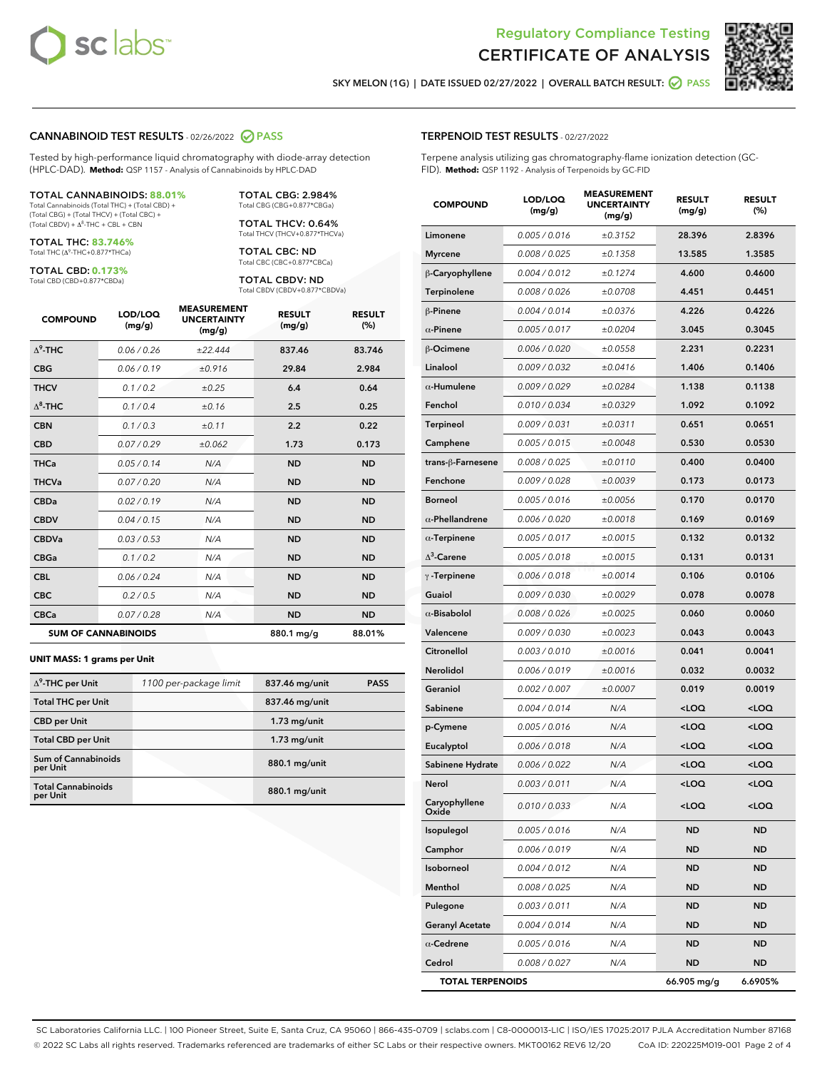



SKY MELON (1G) | DATE ISSUED 02/27/2022 | OVERALL BATCH RESULT:  $\bigcirc$  PASS

#### CANNABINOID TEST RESULTS - 02/26/2022 2 PASS

Tested by high-performance liquid chromatography with diode-array detection (HPLC-DAD). **Method:** QSP 1157 - Analysis of Cannabinoids by HPLC-DAD

#### TOTAL CANNABINOIDS: **88.01%**

Total Cannabinoids (Total THC) + (Total CBD) + (Total CBG) + (Total THCV) + (Total CBC) +  $(Total CBDV) +  $\Delta^8$ -THC + CBL + CBN$ 

TOTAL THC: **83.746%** Total THC (Δ<sup>9</sup> -THC+0.877\*THCa)

TOTAL CBD: **0.173%**

Total CBD (CBD+0.877\*CBDa)

TOTAL CBG: 2.984% Total CBG (CBG+0.877\*CBGa)

TOTAL THCV: 0.64% Total THCV (THCV+0.877\*THCVa)

TOTAL CBC: ND Total CBC (CBC+0.877\*CBCa)

TOTAL CBDV: ND Total CBDV (CBDV+0.877\*CBDVa)

| <b>COMPOUND</b> | LOD/LOO<br>(mg/g)          | <b>MEASUREMENT</b><br><b>UNCERTAINTY</b><br>(mg/g) | <b>RESULT</b><br>(mg/g) | <b>RESULT</b><br>(%) |
|-----------------|----------------------------|----------------------------------------------------|-------------------------|----------------------|
| $\Delta^9$ -THC | 0.06/0.26                  | ±22.444                                            | 837.46                  | 83.746               |
| <b>CBG</b>      | 0.06/0.19                  | ±0.916                                             | 29.84                   | 2.984                |
| <b>THCV</b>     | 0.1/0.2                    | ±0.25                                              | 6.4                     | 0.64                 |
| $\Delta^8$ -THC | 0.1/0.4                    | ±0.16                                              | 2.5                     | 0.25                 |
| <b>CBN</b>      | 0.1/0.3                    | ±0.11                                              | 2.2                     | 0.22                 |
| <b>CBD</b>      | 0.07/0.29                  | ±0.062                                             | 1.73                    | 0.173                |
| <b>THCa</b>     | 0.05/0.14                  | N/A                                                | <b>ND</b>               | <b>ND</b>            |
| <b>THCVa</b>    | 0.07/0.20                  | N/A                                                | <b>ND</b>               | <b>ND</b>            |
| <b>CBDa</b>     | 0.02/0.19                  | N/A                                                | <b>ND</b>               | <b>ND</b>            |
| <b>CBDV</b>     | 0.04/0.15                  | N/A                                                | <b>ND</b>               | <b>ND</b>            |
| <b>CBDVa</b>    | 0.03 / 0.53                | N/A                                                | <b>ND</b>               | <b>ND</b>            |
| <b>CBGa</b>     | 0.1 / 0.2                  | N/A                                                | <b>ND</b>               | <b>ND</b>            |
| <b>CBL</b>      | 0.06 / 0.24                | N/A                                                | <b>ND</b>               | <b>ND</b>            |
| <b>CBC</b>      | 0.2 / 0.5                  | N/A                                                | <b>ND</b>               | <b>ND</b>            |
| <b>CBCa</b>     | 0.07/0.28                  | N/A                                                | <b>ND</b>               | <b>ND</b>            |
|                 | <b>SUM OF CANNABINOIDS</b> |                                                    | 880.1 mg/g              | 88.01%               |

#### **UNIT MASS: 1 grams per Unit**

| $\Delta^9$ -THC per Unit               | 1100 per-package limit | 837.46 mg/unit | <b>PASS</b> |
|----------------------------------------|------------------------|----------------|-------------|
| <b>Total THC per Unit</b>              |                        | 837.46 mg/unit |             |
| <b>CBD</b> per Unit                    |                        | $1.73$ mg/unit |             |
| <b>Total CBD per Unit</b>              |                        | $1.73$ mg/unit |             |
| <b>Sum of Cannabinoids</b><br>per Unit |                        | 880.1 mg/unit  |             |
| <b>Total Cannabinoids</b><br>per Unit  |                        | 880.1 mg/unit  |             |

| <b>COMPOUND</b>         | LOD/LOQ<br>(mg/g) | <b>MEASUREMENT</b><br><b>UNCERTAINTY</b><br>(mg/g) | <b>RESULT</b><br>(mg/g)                         | <b>RESULT</b><br>(%) |
|-------------------------|-------------------|----------------------------------------------------|-------------------------------------------------|----------------------|
| Limonene                | 0.005 / 0.016     | ±0.3152                                            | 28.396                                          | 2.8396               |
| <b>Myrcene</b>          | 0.008 / 0.025     | ±0.1358                                            | 13.585                                          | 1.3585               |
| β-Caryophyllene         | 0.004 / 0.012     | ±0.1274                                            | 4.600                                           | 0.4600               |
| <b>Terpinolene</b>      | 0.008 / 0.026     | ±0.0708                                            | 4.451                                           | 0.4451               |
| $\beta$ -Pinene         | 0.004 / 0.014     | ±0.0376                                            | 4.226                                           | 0.4226               |
| $\alpha$ -Pinene        | 0.005 / 0.017     | ±0.0204                                            | 3.045                                           | 0.3045               |
| β-Ocimene               | 0.006 / 0.020     | ±0.0558                                            | 2.231                                           | 0.2231               |
| Linalool                | 0.009 / 0.032     | ±0.0416                                            | 1.406                                           | 0.1406               |
| $\alpha$ -Humulene      | 0.009/0.029       | ±0.0284                                            | 1.138                                           | 0.1138               |
| Fenchol                 | 0.010 / 0.034     | ±0.0329                                            | 1.092                                           | 0.1092               |
| <b>Terpineol</b>        | 0.009 / 0.031     | ±0.0311                                            | 0.651                                           | 0.0651               |
| Camphene                | 0.005 / 0.015     | ±0.0048                                            | 0.530                                           | 0.0530               |
| trans-ß-Farnesene       | 0.008 / 0.025     | ±0.0110                                            | 0.400                                           | 0.0400               |
| Fenchone                | 0.009 / 0.028     | ±0.0039                                            | 0.173                                           | 0.0173               |
| <b>Borneol</b>          | 0.005 / 0.016     | ±0.0056                                            | 0.170                                           | 0.0170               |
| $\alpha$ -Phellandrene  | 0.006 / 0.020     | ±0.0018                                            | 0.169                                           | 0.0169               |
| $\alpha$ -Terpinene     | 0.005 / 0.017     | ±0.0015                                            | 0.132                                           | 0.0132               |
| $\Lambda^3$ -Carene     | 0.005 / 0.018     | ±0.0015                                            | 0.131                                           | 0.0131               |
| $\gamma$ -Terpinene     | 0.006 / 0.018     | ±0.0014                                            | 0.106                                           | 0.0106               |
| Guaiol                  | 0.009 / 0.030     | ±0.0029                                            | 0.078                                           | 0.0078               |
| $\alpha$ -Bisabolol     | 0.008 / 0.026     | ±0.0025                                            | 0.060                                           | 0.0060               |
| Valencene               | 0.009 / 0.030     | ±0.0023                                            | 0.043                                           | 0.0043               |
| Citronellol             | 0.003 / 0.010     | ±0.0016                                            | 0.041                                           | 0.0041               |
| Nerolidol               | 0.006 / 0.019     | ±0.0016                                            | 0.032                                           | 0.0032               |
| Geraniol                | 0.002 / 0.007     | ±0.0007                                            | 0.019                                           | 0.0019               |
| Sabinene                | 0.004 / 0.014     | N/A                                                | <loq< th=""><th><loq< th=""></loq<></th></loq<> | <loq< th=""></loq<>  |
| p-Cymene                | 0.005 / 0.016     | N/A                                                | <loq< th=""><th><loq< th=""></loq<></th></loq<> | <loq< th=""></loq<>  |
| Eucalyptol              | 0.006 / 0.018     | N/A                                                | <loq< th=""><th><loq< th=""></loq<></th></loq<> | <loq< th=""></loq<>  |
| Sabinene Hydrate        | 0.006 / 0.022     | N/A                                                | <loq< th=""><th><loq< th=""></loq<></th></loq<> | <loq< th=""></loq<>  |
| Nerol                   | 0.003 / 0.011     | N/A                                                | <loq< th=""><th><loq< th=""></loq<></th></loq<> | <loq< th=""></loq<>  |
| Caryophyllene<br>Oxide  | 0.010 / 0.033     | N/A                                                | <loq< th=""><th><loq< th=""></loq<></th></loq<> | <loq< th=""></loq<>  |
| Isopulegol              | 0.005 / 0.016     | N/A                                                | ND                                              | ND                   |
| Camphor                 | 0.006 / 0.019     | N/A                                                | ND                                              | ND                   |
| Isoborneol              | 0.004 / 0.012     | N/A                                                | ND                                              | <b>ND</b>            |
| Menthol                 | 0.008 / 0.025     | N/A                                                | ND                                              | ND                   |
| Pulegone                | 0.003 / 0.011     | N/A                                                | ND                                              | ND                   |
| <b>Geranyl Acetate</b>  | 0.004 / 0.014     | N/A                                                | ND                                              | ND                   |
| $\alpha$ -Cedrene       | 0.005 / 0.016     | N/A                                                | ND                                              | ND                   |
| Cedrol                  | 0.008 / 0.027     | N/A                                                | ND                                              | ND                   |
| <b>TOTAL TERPENOIDS</b> |                   |                                                    | 66.905 mg/g                                     | 6.6905%              |

SC Laboratories California LLC. | 100 Pioneer Street, Suite E, Santa Cruz, CA 95060 | 866-435-0709 | sclabs.com | C8-0000013-LIC | ISO/IES 17025:2017 PJLA Accreditation Number 87168 © 2022 SC Labs all rights reserved. Trademarks referenced are trademarks of either SC Labs or their respective owners. MKT00162 REV6 12/20 CoA ID: 220225M019-001 Page 2 of 4

## TERPENOID TEST RESULTS - 02/27/2022

Terpene analysis utilizing gas chromatography-flame ionization detection (GC-FID). **Method:** QSP 1192 - Analysis of Terpenoids by GC-FID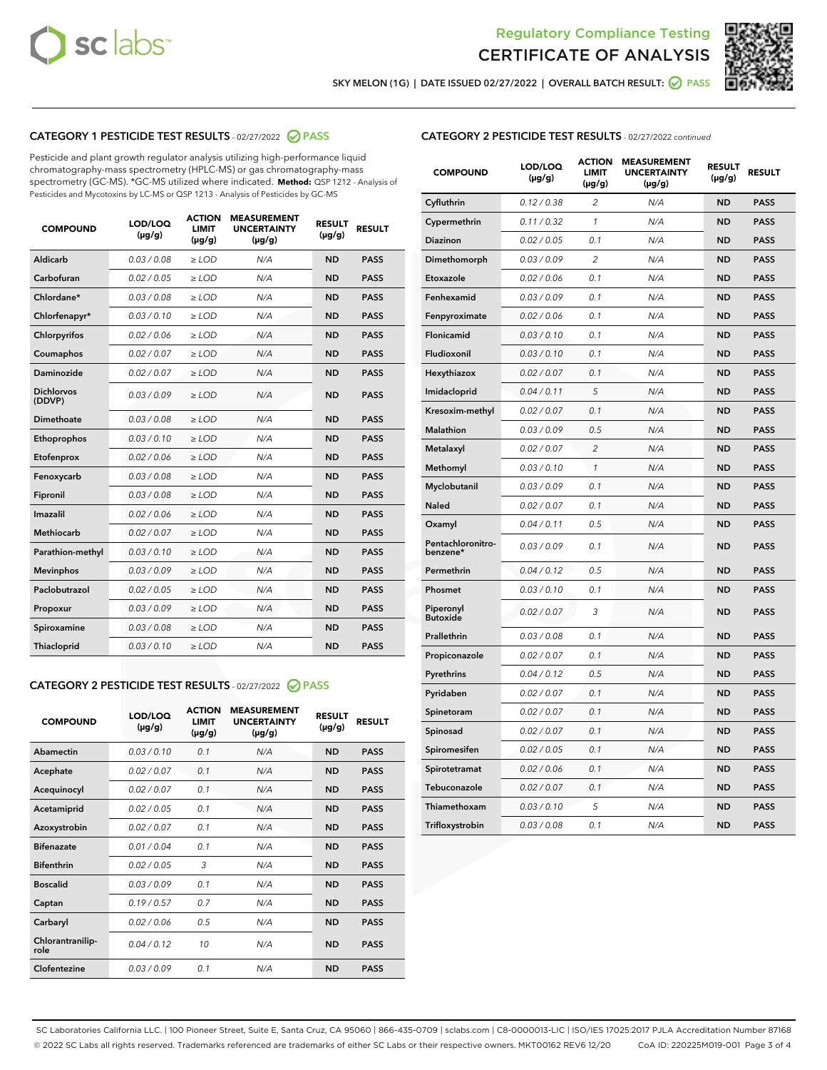



SKY MELON (1G) | DATE ISSUED 02/27/2022 | OVERALL BATCH RESULT: 0 PASS

## CATEGORY 1 PESTICIDE TEST RESULTS - 02/27/2022 2 PASS

Pesticide and plant growth regulator analysis utilizing high-performance liquid chromatography-mass spectrometry (HPLC-MS) or gas chromatography-mass spectrometry (GC-MS). \*GC-MS utilized where indicated. **Method:** QSP 1212 - Analysis of Pesticides and Mycotoxins by LC-MS or QSP 1213 - Analysis of Pesticides by GC-MS

| <b>COMPOUND</b>             | LOD/LOQ<br>$(\mu g/g)$ | <b>ACTION</b><br>LIMIT<br>$(\mu g/g)$ | <b>MEASUREMENT</b><br><b>UNCERTAINTY</b><br>$(\mu g/g)$ | <b>RESULT</b><br>$(\mu g/g)$ | <b>RESULT</b> |
|-----------------------------|------------------------|---------------------------------------|---------------------------------------------------------|------------------------------|---------------|
| Aldicarb                    | 0.03 / 0.08            | $\ge$ LOD                             | N/A                                                     | <b>ND</b>                    | <b>PASS</b>   |
| Carbofuran                  | 0.02 / 0.05            | $>$ LOD                               | N/A                                                     | <b>ND</b>                    | <b>PASS</b>   |
| Chlordane*                  | 0.03/0.08              | $>$ LOD                               | N/A                                                     | <b>ND</b>                    | <b>PASS</b>   |
| Chlorfenapyr*               | 0.03/0.10              | $>$ LOD                               | N/A                                                     | <b>ND</b>                    | <b>PASS</b>   |
| Chlorpyrifos                | 0.02 / 0.06            | $\ge$ LOD                             | N/A                                                     | <b>ND</b>                    | <b>PASS</b>   |
| Coumaphos                   | 0.02 / 0.07            | $\ge$ LOD                             | N/A                                                     | <b>ND</b>                    | <b>PASS</b>   |
| Daminozide                  | 0.02 / 0.07            | $>$ LOD                               | N/A                                                     | <b>ND</b>                    | <b>PASS</b>   |
| <b>Dichlorvos</b><br>(DDVP) | 0.03/0.09              | $>$ LOD                               | N/A                                                     | <b>ND</b>                    | <b>PASS</b>   |
| Dimethoate                  | 0.03 / 0.08            | $\ge$ LOD                             | N/A                                                     | <b>ND</b>                    | <b>PASS</b>   |
| Ethoprophos                 | 0.03/0.10              | $\ge$ LOD                             | N/A                                                     | <b>ND</b>                    | <b>PASS</b>   |
| Etofenprox                  | 0.02 / 0.06            | $\ge$ LOD                             | N/A                                                     | <b>ND</b>                    | <b>PASS</b>   |
| Fenoxycarb                  | 0.03 / 0.08            | $\ge$ LOD                             | N/A                                                     | <b>ND</b>                    | <b>PASS</b>   |
| Fipronil                    | 0.03 / 0.08            | $\ge$ LOD                             | N/A                                                     | <b>ND</b>                    | <b>PASS</b>   |
| Imazalil                    | 0.02/0.06              | $>$ LOD                               | N/A                                                     | <b>ND</b>                    | <b>PASS</b>   |
| <b>Methiocarb</b>           | 0.02 / 0.07            | $\ge$ LOD                             | N/A                                                     | <b>ND</b>                    | <b>PASS</b>   |
| Parathion-methyl            | 0.03/0.10              | $\ge$ LOD                             | N/A                                                     | <b>ND</b>                    | <b>PASS</b>   |
| <b>Mevinphos</b>            | 0.03/0.09              | $>$ LOD                               | N/A                                                     | <b>ND</b>                    | <b>PASS</b>   |
| Paclobutrazol               | 0.02 / 0.05            | $>$ LOD                               | N/A                                                     | <b>ND</b>                    | <b>PASS</b>   |
| Propoxur                    | 0.03/0.09              | $\geq$ LOD                            | N/A                                                     | <b>ND</b>                    | <b>PASS</b>   |
| Spiroxamine                 | 0.03 / 0.08            | $\geq$ LOD                            | N/A                                                     | <b>ND</b>                    | <b>PASS</b>   |
| Thiacloprid                 | 0.03/0.10              | $>$ LOD                               | N/A                                                     | <b>ND</b>                    | <b>PASS</b>   |
|                             |                        |                                       |                                                         |                              |               |

### CATEGORY 2 PESTICIDE TEST RESULTS - 02/27/2022 @ PASS

| <b>COMPOUND</b>          | LOD/LOQ<br>$(\mu g/g)$ | <b>ACTION</b><br><b>LIMIT</b><br>$(\mu g/g)$ | <b>MEASUREMENT</b><br><b>UNCERTAINTY</b><br>$(\mu g/g)$ | <b>RESULT</b><br>$(\mu g/g)$ | <b>RESULT</b> |
|--------------------------|------------------------|----------------------------------------------|---------------------------------------------------------|------------------------------|---------------|
| Abamectin                | 0.03/0.10              | 0.1                                          | N/A                                                     | <b>ND</b>                    | <b>PASS</b>   |
| Acephate                 | 0.02/0.07              | 0.1                                          | N/A                                                     | <b>ND</b>                    | <b>PASS</b>   |
| Acequinocyl              | 0.02/0.07              | 0.1                                          | N/A                                                     | <b>ND</b>                    | <b>PASS</b>   |
| Acetamiprid              | 0.02/0.05              | 0.1                                          | N/A                                                     | <b>ND</b>                    | <b>PASS</b>   |
| Azoxystrobin             | 0.02 / 0.07            | 0.1                                          | N/A                                                     | <b>ND</b>                    | <b>PASS</b>   |
| <b>Bifenazate</b>        | 0.01/0.04              | 0.1                                          | N/A                                                     | <b>ND</b>                    | <b>PASS</b>   |
| <b>Bifenthrin</b>        | 0.02 / 0.05            | 3                                            | N/A                                                     | <b>ND</b>                    | <b>PASS</b>   |
| <b>Boscalid</b>          | 0.03/0.09              | 0.1                                          | N/A                                                     | <b>ND</b>                    | <b>PASS</b>   |
| Captan                   | 0.19/0.57              | 0.7                                          | N/A                                                     | <b>ND</b>                    | <b>PASS</b>   |
| Carbaryl                 | 0.02/0.06              | 0.5                                          | N/A                                                     | <b>ND</b>                    | <b>PASS</b>   |
| Chlorantranilip-<br>role | 0.04/0.12              | 10                                           | N/A                                                     | <b>ND</b>                    | <b>PASS</b>   |
| Clofentezine             | 0.03/0.09              | 0.1                                          | N/A                                                     | <b>ND</b>                    | <b>PASS</b>   |

| <b>COMPOUND</b>               | LOD/LOQ<br>(µg/g) | <b>ACTION</b><br><b>LIMIT</b><br>$(\mu g/g)$ | <b>MEASUREMENT</b><br><b>UNCERTAINTY</b><br>$(\mu g/g)$ | <b>RESULT</b><br>(µg/g) | <b>RESULT</b> |
|-------------------------------|-------------------|----------------------------------------------|---------------------------------------------------------|-------------------------|---------------|
| Cyfluthrin                    | 0.12 / 0.38       | $\overline{c}$                               | N/A                                                     | <b>ND</b>               | <b>PASS</b>   |
| Cypermethrin                  | 0.11 / 0.32       | $\mathcal{I}$                                | N/A                                                     | <b>ND</b>               | <b>PASS</b>   |
| <b>Diazinon</b>               | 0.02 / 0.05       | 0.1                                          | N/A                                                     | <b>ND</b>               | <b>PASS</b>   |
| Dimethomorph                  | 0.03 / 0.09       | 2                                            | N/A                                                     | ND                      | <b>PASS</b>   |
| Etoxazole                     | 0.02 / 0.06       | 0.1                                          | N/A                                                     | <b>ND</b>               | <b>PASS</b>   |
| Fenhexamid                    | 0.03/0.09         | 0.1                                          | N/A                                                     | <b>ND</b>               | <b>PASS</b>   |
| Fenpyroximate                 | 0.02 / 0.06       | 0.1                                          | N/A                                                     | <b>ND</b>               | <b>PASS</b>   |
| Flonicamid                    | 0.03 / 0.10       | 0.1                                          | N/A                                                     | <b>ND</b>               | <b>PASS</b>   |
| Fludioxonil                   | 0.03 / 0.10       | 0.1                                          | N/A                                                     | <b>ND</b>               | <b>PASS</b>   |
| Hexythiazox                   | 0.02 / 0.07       | 0.1                                          | N/A                                                     | <b>ND</b>               | <b>PASS</b>   |
| Imidacloprid                  | 0.04 / 0.11       | 5                                            | N/A                                                     | ND                      | <b>PASS</b>   |
| Kresoxim-methyl               | 0.02 / 0.07       | 0.1                                          | N/A                                                     | ND                      | <b>PASS</b>   |
| Malathion                     | 0.03 / 0.09       | 0.5                                          | N/A                                                     | <b>ND</b>               | <b>PASS</b>   |
| Metalaxyl                     | 0.02 / 0.07       | $\overline{c}$                               | N/A                                                     | <b>ND</b>               | <b>PASS</b>   |
| Methomyl                      | 0.03 / 0.10       | $\mathcal{I}$                                | N/A                                                     | <b>ND</b>               | <b>PASS</b>   |
| Myclobutanil                  | 0.03 / 0.09       | 0.1                                          | N/A                                                     | <b>ND</b>               | <b>PASS</b>   |
| Naled                         | 0.02 / 0.07       | 0.1                                          | N/A                                                     | <b>ND</b>               | <b>PASS</b>   |
| Oxamyl                        | 0.04 / 0.11       | 0.5                                          | N/A                                                     | <b>ND</b>               | <b>PASS</b>   |
| Pentachloronitro-<br>benzene* | 0.03 / 0.09       | 0.1                                          | N/A                                                     | <b>ND</b>               | <b>PASS</b>   |
| Permethrin                    | 0.04 / 0.12       | 0.5                                          | N/A                                                     | <b>ND</b>               | <b>PASS</b>   |
| Phosmet                       | 0.03 / 0.10       | 0.1                                          | N/A                                                     | <b>ND</b>               | <b>PASS</b>   |
| Piperonyl<br><b>Butoxide</b>  | 0.02 / 0.07       | 3                                            | N/A                                                     | <b>ND</b>               | <b>PASS</b>   |
| Prallethrin                   | 0.03 / 0.08       | 0.1                                          | N/A                                                     | <b>ND</b>               | <b>PASS</b>   |
| Propiconazole                 | 0.02 / 0.07       | 0.1                                          | N/A                                                     | <b>ND</b>               | <b>PASS</b>   |
| Pyrethrins                    | 0.04 / 0.12       | 0.5                                          | N/A                                                     | <b>ND</b>               | <b>PASS</b>   |
| Pyridaben                     | 0.02 / 0.07       | 0.1                                          | N/A                                                     | ND                      | <b>PASS</b>   |
| Spinetoram                    | 0.02 / 0.07       | 0.1                                          | N/A                                                     | <b>ND</b>               | <b>PASS</b>   |
| Spinosad                      | 0.02 / 0.07       | 0.1                                          | N/A                                                     | <b>ND</b>               | <b>PASS</b>   |
| Spiromesifen                  | 0.02 / 0.05       | 0.1                                          | N/A                                                     | <b>ND</b>               | <b>PASS</b>   |
| Spirotetramat                 | 0.02 / 0.06       | 0.1                                          | N/A                                                     | <b>ND</b>               | <b>PASS</b>   |
| Tebuconazole                  | 0.02 / 0.07       | 0.1                                          | N/A                                                     | <b>ND</b>               | <b>PASS</b>   |
| Thiamethoxam                  | 0.03 / 0.10       | 5                                            | N/A                                                     | ND                      | <b>PASS</b>   |
| Trifloxystrobin               | 0.03 / 0.08       | 0.1                                          | N/A                                                     | ND                      | <b>PASS</b>   |

SC Laboratories California LLC. | 100 Pioneer Street, Suite E, Santa Cruz, CA 95060 | 866-435-0709 | sclabs.com | C8-0000013-LIC | ISO/IES 17025:2017 PJLA Accreditation Number 87168 © 2022 SC Labs all rights reserved. Trademarks referenced are trademarks of either SC Labs or their respective owners. MKT00162 REV6 12/20 CoA ID: 220225M019-001 Page 3 of 4